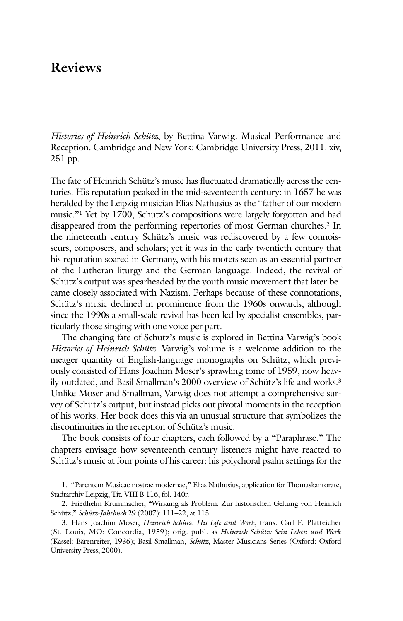## **Reviews**

*Histories of Heinrich Schütz*, by Bettina Varwig. Musical Performance and Reception. Cambridge and New York: Cambridge University Press, 2011. xiv, 251 pp.

The fate of Heinrich Schütz's music has fluctuated dramatically across the centuries. His reputation peaked in the mid-seventeenth century: in 1657 he was heralded by the Leipzig musician Elias Nathusius as the "father of our modern music."1 Yet by 1700, Schütz's compositions were largely forgotten and had disappeared from the performing repertories of most German churches.2 In the nineteenth century Schütz's music was rediscovered by a few connoisseurs, composers, and scholars; yet it was in the early twentieth century that his reputation soared in Germany, with his motets seen as an essential partner of the Lutheran liturgy and the German language. Indeed, the revival of Schütz's output was spearheaded by the youth music movement that later became closely associated with Nazism. Perhaps because of these connotations, Schütz's music declined in prominence from the 1960s onwards, although since the 1990s a small-scale revival has been led by specialist ensembles, particularly those singing with one voice per part.

The changing fate of Schütz's music is explored in Bettina Varwig's book *Histories of Heinrich Schütz*. Varwig's volume is a welcome addition to the meager quantity of English-language monographs on Schütz, which previously consisted of Hans Joachim Moser's sprawling tome of 1959, now heavily outdated, and Basil Smallman's 2000 overview of Schütz's life and works.3 Unlike Moser and Smallman, Varwig does not attempt a comprehensive survey of Schütz's output, but instead picks out pivotal moments in the reception of his works. Her book does this via an unusual structure that symbolizes the discontinuities in the reception of Schütz's music.

The book consists of four chapters, each followed by a "Paraphrase." The chapters envisage how seventeenth-century listeners might have reacted to Schütz's music at four points of his career: his polychoral psalm settings for the

1. "Parentem Musicae nostrae modernae," Elias Nathusius, application for Thomaskantorate, Stadtarchiv Leipzig, Tit. VIII B 116, fol. 140r.

2. Friedhelm Krummacher, "Wirkung als Problem: Zur historischen Geltung von Heinrich Schütz," *Schütz-Jahrbuch* 29 (2007): 111–22, at 115.

3. Hans Joachim Moser, *Heinrich Schütz: His Life and Work*, trans. Carl F. Pfatteicher (St. Louis, MO: Concordia, 1959); orig. publ. as *Heinrich Schütz: Sein Leben und Werk* (Kassel: Bärenreiter, 1936); Basil Smallman, *Schütz*, Master Musicians Series (Oxford: Oxford University Press, 2000).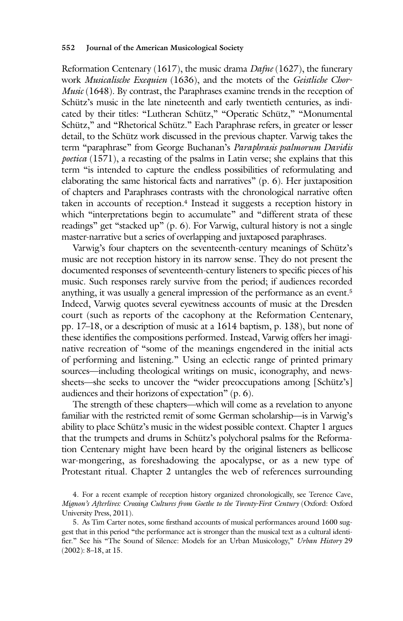## **552 Journal of the American Musicological Society**

Reformation Centenary (1617), the music drama *Dafne* (1627), the funerary work *Musicalische Exequien* (1636), and the motets of the *Geistliche Chor-Music* (1648). By contrast, the Paraphrases examine trends in the reception of Schütz's music in the late nineteenth and early twentieth centuries, as indicated by their titles: "Lutheran Schütz," "Operatic Schütz," "Monumental Schütz," and "Rhetorical Schütz." Each Paraphrase refers, in greater or lesser detail, to the Schütz work discussed in the previous chapter. Varwig takes the term "paraphrase" from George Buchanan's *Paraphrasis psalmorum Davidis poetica* (1571), a recasting of the psalms in Latin verse; she explains that this term "is intended to capture the endless possibilities of reformulating and elaborating the same historical facts and narratives" (p. 6). Her juxtaposition of chapters and Paraphrases contrasts with the chronological narrative often taken in accounts of reception.<sup>4</sup> Instead it suggests a reception history in which "interpretations begin to accumulate" and "different strata of these readings" get "stacked up" (p. 6). For Varwig, cultural history is not a single master-narrative but a series of overlapping and juxtaposed paraphrases.

Varwig's four chapters on the seventeenth-century meanings of Schütz's music are not reception history in its narrow sense. They do not present the documented responses of seventeenth-century listeners to specific pieces of his music. Such responses rarely survive from the period; if audiences recorded anything, it was usually a general impression of the performance as an event.5 Indeed, Varwig quotes several eyewitness accounts of music at the Dresden court (such as reports of the cacophony at the Reformation Centenary, pp. 17–18, or a description of music at a 1614 baptism, p. 138), but none of these identifies the compositions performed. Instead, Varwig offers her imaginative recreation of "some of the meanings engendered in the initial acts of performing and listening." Using an eclectic range of printed primary sources—including theological writings on music, iconography, and newssheets—she seeks to uncover the "wider preoccupations among [Schütz's] audiences and their horizons of expectation" (p. 6).

The strength of these chapters—which will come as a revelation to anyone familiar with the restricted remit of some German scholarship—is in Varwig's ability to place Schütz's music in the widest possible context. Chapter 1 argues that the trumpets and drums in Schütz's polychoral psalms for the Reformation Centenary might have been heard by the original listeners as bellicose war-mongering, as foreshadowing the apocalypse, or as a new type of Protestant ritual. Chapter 2 untangles the web of references surrounding

<sup>4.</sup> For a recent example of reception history organized chronologically, see Terence Cave, *Mignon's Afterlives: Crossing Cultures from Goethe to the Twenty-First Century (Oxford: Oxford* University Press, 2011).

<sup>5.</sup> As Tim Carter notes, some firsthand accounts of musical performances around 1600 suggest that in this period "the performance act is stronger than the musical text as a cultural identifier." See his "The Sound of Silence: Models for an Urban Musicology," *Urban History* 29 (2002): 8–18, at 15.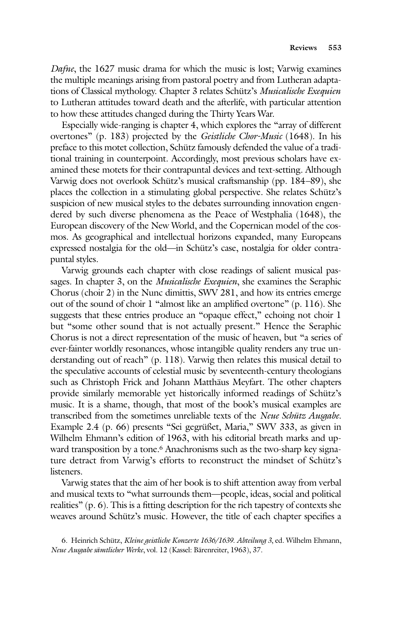*Dafne*, the 1627 music drama for which the music is lost; Varwig examines the multiple meanings arising from pastoral poetry and from Lutheran adaptations of Classical mythology. Chapter 3 relates Schütz's *Musicalische Exequien* to Lutheran attitudes toward death and the afterlife, with particular attention to how these attitudes changed during the Thirty Years War.

Especially wide-ranging is chapter 4, which explores the "array of different overtones" (p. 183) projected by the *Geistliche Chor-Music* (1648). In his preface to this motet collection, Schütz famously defended the value of a traditional training in counterpoint. Accordingly, most previous scholars have examined these motets for their contrapuntal devices and text-setting. Although Varwig does not overlook Schütz's musical craftsmanship (pp. 184–89), she places the collection in a stimulating global perspective. She relates Schütz's suspicion of new musical styles to the debates surrounding innovation engendered by such diverse phenomena as the Peace of Westphalia (1648), the European discovery of the New World, and the Copernican model of the cosmos. As geographical and intellectual horizons expanded, many Europeans expressed nostalgia for the old—in Schütz's case, nostalgia for older contrapuntal styles.

Varwig grounds each chapter with close readings of salient musical passages. In chapter 3, on the *Musicalische Exequien*, she examines the Seraphic Chorus (choir 2) in the Nunc dimittis, SWV 281, and how its entries emerge out of the sound of choir 1 "almost like an amplified overtone" (p. 116). She suggests that these entries produce an "opaque effect," echoing not choir 1 but "some other sound that is not actually present." Hence the Seraphic Chorus is not a direct representation of the music of heaven, but "a series of ever-fainter worldly resonances, whose intangible quality renders any true understanding out of reach" (p. 118). Varwig then relates this musical detail to the speculative accounts of celestial music by seventeenth-century theologians such as Christoph Frick and Johann Matthäus Meyfart. The other chapters provide similarly memorable yet historically informed readings of Schütz's music. It is a shame, though, that most of the book's musical examples are transcribed from the sometimes unreliable texts of the *Neue Schütz Ausgabe*. Example 2.4 (p. 66) presents "Sei gegrüßet, Maria," SWV 333, as given in Wilhelm Ehmann's edition of 1963, with his editorial breath marks and upward transposition by a tone.<sup>6</sup> Anachronisms such as the two-sharp key signature detract from Varwig's efforts to reconstruct the mindset of Schütz's listeners.

Varwig states that the aim of her book is to shift attention away from verbal and musical texts to "what surrounds them—people, ideas, social and political realities" (p. 6). This is a fitting description for the rich tapestry of contexts she weaves around Schütz's music. However, the title of each chapter specifies a

6. Heinrich Schütz, *Kleine geistliche Konzerte 1636/1639. Abteilung 3*, ed. Wilhelm Ehmann, *Neue Ausgabe sämtlicher Werke*, vol. 12 (Kassel: Bärenreiter, 1963), 37.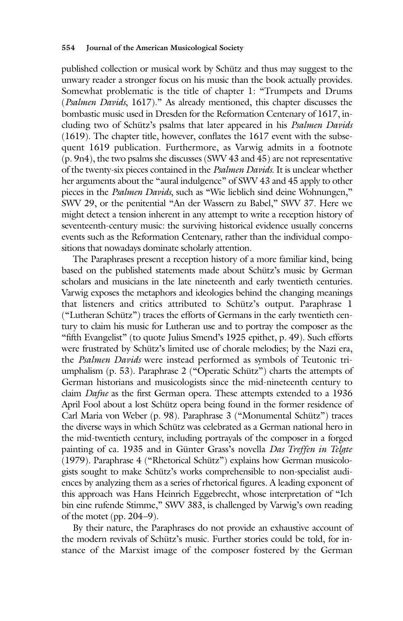published collection or musical work by Schütz and thus may suggest to the unwary reader a stronger focus on his music than the book actually provides. Somewhat problematic is the title of chapter 1: "Trumpets and Drums (*Psalmen Davids*, 1617)." As already mentioned, this chapter discusses the bombastic music used in Dresden for the Reformation Centenary of 1617, including two of Schütz's psalms that later appeared in his *Psalmen Davids* (1619). The chapter title, however, conflates the 1617 event with the subsequent 1619 publication. Furthermore, as Varwig admits in a footnote (p. 9n4), the two psalms she discusses (SWV 43 and 45) are not representative of the twenty-six pieces contained in the *Psalmen Davids*. It is unclear whether her arguments about the "aural indulgence" of SWV 43 and 45 apply to other pieces in the *Psalmen Davids*, such as "Wie lieblich sind deine Wohnungen," SWV 29, or the penitential "An der Wassern zu Babel," SWV 37. Here we might detect a tension inherent in any attempt to write a reception history of seventeenth-century music: the surviving historical evidence usually concerns events such as the Reformation Centenary, rather than the individual compositions that nowadays dominate scholarly attention.

The Paraphrases present a reception history of a more familiar kind, being based on the published statements made about Schütz's music by German scholars and musicians in the late nineteenth and early twentieth centuries. Varwig exposes the metaphors and ideologies behind the changing meanings that listeners and critics attributed to Schütz's output. Paraphrase 1 ("Lutheran Schütz") traces the efforts of Germans in the early twentieth century to claim his music for Lutheran use and to portray the composer as the "fifth Evangelist" (to quote Julius Smend's 1925 epithet, p. 49). Such efforts were frustrated by Schütz's limited use of chorale melodies; by the Nazi era, the *Psalmen Davids* were instead performed as symbols of Teutonic triumphalism (p. 53). Paraphrase 2 ("Operatic Schütz") charts the attempts of German historians and musicologists since the mid-nineteenth century to claim *Dafne* as the first German opera. These attempts extended to a 1936 April Fool about a lost Schütz opera being found in the former residence of Carl Maria von Weber (p. 98). Paraphrase 3 ("Monumental Schütz") traces the diverse ways in which Schütz was celebrated as a German national hero in the mid-twentieth century, including portrayals of the composer in a forged painting of ca. 1935 and in Günter Grass's novella *Das Treffen in Telgte* (1979). Paraphrase 4 ("Rhetorical Schütz") explains how German musicologists sought to make Schütz's works comprehensible to non-specialist audiences by analyzing them as a series of rhetorical figures. A leading exponent of this approach was Hans Heinrich Eggebrecht, whose interpretation of "Ich bin eine rufende Stimme," SWV 383, is challenged by Varwig's own reading of the motet (pp. 204–9).

By their nature, the Paraphrases do not provide an exhaustive account of the modern revivals of Schütz's music. Further stories could be told, for instance of the Marxist image of the composer fostered by the German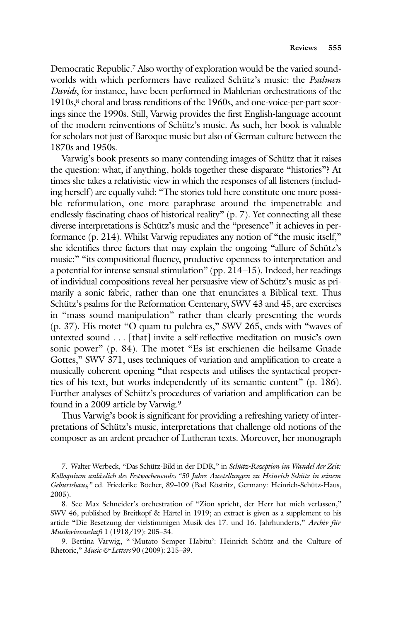Democratic Republic.7 Also worthy of exploration would be the varied soundworlds with which performers have realized Schütz's music: the *Psalmen Davids*, for instance, have been performed in Mahlerian orchestrations of the 1910s,<sup>8</sup> choral and brass renditions of the 1960s, and one-voice-per-part scorings since the 1990s. Still, Varwig provides the first English-language account of the modern reinventions of Schütz's music. As such, her book is valuable for scholars not just of Baroque music but also of German culture between the 1870s and 1950s.

Varwig's book presents so many contending images of Schütz that it raises the question: what, if anything, holds together these disparate "histories"? At times she takes a relativistic view in which the responses of all listeners (including herself) are equally valid: "The stories told here constitute one more possible reformulation, one more paraphrase around the impenetrable and endlessly fascinating chaos of historical reality" (p. 7). Yet connecting all these diverse interpretations is Schütz's music and the "presence" it achieves in performance (p. 214). Whilst Varwig repudiates any notion of "the music itself," she identifies three factors that may explain the ongoing "allure of Schütz's music:" "its compositional fluency, productive openness to interpretation and a potential for intense sensual stimulation" (pp. 214–15). Indeed, her readings of individual compositions reveal her persuasive view of Schütz's music as primarily a sonic fabric, rather than one that enunciates a Biblical text. Thus Schütz's psalms for the Reformation Centenary, SWV 43 and 45, are exercises in "mass sound manipulation" rather than clearly presenting the words (p. 37). His motet "O quam tu pulchra es," SWV 265, ends with "waves of untexted sound . . . [that] invite a self-reflective meditation on music's own sonic power" (p. 84). The motet "Es ist erschienen die heilsame Gnade Gottes," SWV 371, uses techniques of variation and amplification to create a musically coherent opening "that respects and utilises the syntactical properties of his text, but works independently of its semantic content" (p. 186). Further analyses of Schütz's procedures of variation and amplification can be found in a 2009 article by Varwig.9

Thus Varwig's book is significant for providing a refreshing variety of interpretations of Schütz's music, interpretations that challenge old notions of the composer as an ardent preacher of Lutheran texts. Moreover, her monograph

7. Walter Werbeck, "Das Schütz-Bild in der DDR," in *Schütz-Rezeption im Wandel der Zeit: Kolloquium anlässlich des Festwochenendes "50 Jahre Ausstellungen zu Heinrich Schütz in seinem Geburtshaus,"* ed. Friederike Böcher, 89–109 (Bad Köstritz, Germany: Heinrich-Schütz-Haus, 2005).

8. See Max Schneider's orchestration of "Zion spricht, der Herr hat mich verlassen," SWV 46, published by Breitkopf & Härtel in 1919; an extract is given as a supplement to his article "Die Be setzung der vielstimmigen Musik des 17. und 16. Jahrhunderts," *Archiv für Musikwissen schaft* 1 (1918/19): 205–34.

9. Bettina Varwig, " 'Mutato Semper Habitu': Heinrich Schütz and the Culture of Rhetoric," *Music & Letters* 90 (2009): 215–39.